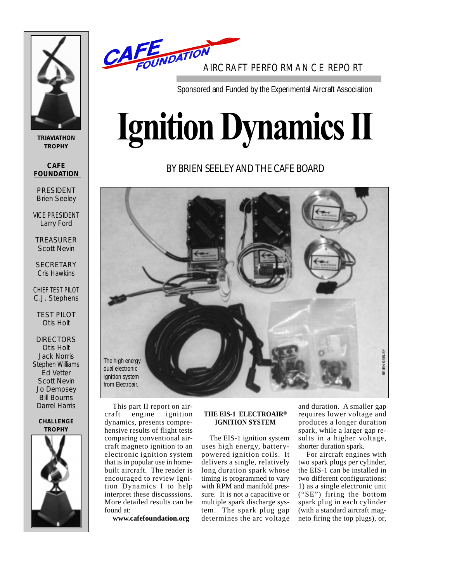

**TRIAVIATHON TROPHY**

**CAFE FOUNDATION** 

PRESIDENT Brien Seeley

VICE PRESIDENT Larry Ford

TREASURER Scott Nevin

**SECRETARY** Cris Hawkins

CHIEF TEST PILOT C.J. Stephens

TEST PILOT Otis Holt

**DIRECTORS** Otis Holt Jack Norris Stephen Williams Ed Vetter Scott Nevin Jo Dempsey Bill Bourns Darrel Harris

#### **CHALLENGE TROPHY**





Sponsored and Funded by the Experimental Aircraft Association

# **Ignition Dynamics II**

## BY BRIEN SEELEY AND THE CAFE BOARD



This part II report on aircraft engine ignition dynamics, presents comprehensive results of flight tests comparing conventional aircraft magneto ignition to an electronic ignition system that is in popular use in homebuilt aircraft. The reader is encouraged to review Ignition Dynamics I to help interpret these discusssions. More detailed results can be found at:

**www.cafefoundation.org**

#### **THE EIS-1 ELECTROAIR® IGNITION SYSTEM**

The EIS-1 ignition system uses high energy, batterypowered ignition coils. It delivers a single, relatively long duration spark whose timing is programmed to vary with RPM and manifold pressure. It is not a capacitive or multiple spark discharge system. The spark plug gap determines the arc voltage

and duration. A smaller gap requires lower voltage and produces a longer duration spark, while a larger gap results in a higher voltage, shorter duration spark.

For aircraft engines with two spark plugs per cylinder, the EIS-1 can be installed in two different configurations: 1) as a single electronic unit ("SE") firing the bottom spark plug in each cylinder (with a standard aircraft magand duration. A smaller gap<br>requires lower voltage and<br>produces a longer duration<br>spark, while a larger gap re-<br>sults in a higher voltage,<br>shorter duration spark.<br>For aircraft engines with<br>two spark plugs per cylinder,<br>the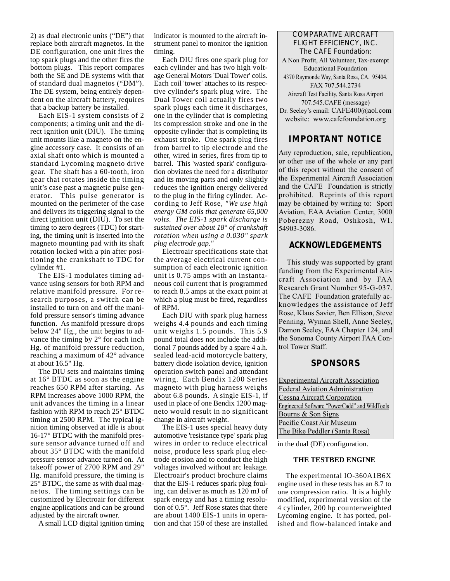2) as dual electronic units ("DE") that replace both aircraft magnetos. In the DE configuration, one unit fires the top spark plugs and the other fires the bottom plugs. This report compares both the SE and DE systems with that of standard dual magnetos ("DM"). The DE system, being entirely dependent on the aircraft battery, requires that a backup battery be installed.

Each EIS-1 system consists of 2 components; a timing unit and the direct ignition unit (DIU). The timing unit mounts like a magneto on the engine accessory case. It consists of an axial shaft onto which is mounted a standard Lycoming magneto drive gear. The shaft has a 60-tooth, iron gear that rotates inside the timing unit's case past a magnetic pulse generator. This pulse generator is mounted on the perimeter of the case and delivers its triggering signal to the direct ignition unit (DIU). To set the timing to zero degrees (TDC) for starting, the timing unit is inserted into the magneto mounting pad with its shaft rotation locked with a pin after positioning the crankshaft to TDC for cylinder #1.

The EIS-1 modulates timing advance using sensors for both RPM and relative manifold pressure. For research purposes, a switch can be installed to turn on and off the manifold pressure sensor's timing advance function. As manifold pressure drops below 24" Hg., the unit begins to advance the timing by 2° for each inch Hg. of manifold pressure reduction, reaching a maximum of 42° advance at about 16.5" Hg.

The DIU sets and maintains timing at 16° BTDC as soon as the engine reaches 650 RPM after starting. As RPM increases above 1000 RPM, the unit advances the timing in a linear fashion with RPM to reach 25° BTDC timing at 2500 RPM. The typical ignition timing observed at idle is about 16-17° BTDC with the manifold pressure sensor advance turned off and about 35° BTDC with the manifold pressure sensor advance turned on. At takeoff power of 2700 RPM and 29" Hg. manifold pressure, the timing is 25° BTDC, the same as with dual magnetos. The timing settings can be customized by Electroair for different engine applications and can be ground adjusted by the aircraft owner.

A small LCD digital ignition timing

indicator is mounted to the aircraft instrument panel to monitor the ignition timing.

Each DIU fires one spark plug for each cylinder and has two high voltage General Motors 'Dual Tower' coils. Each coil 'tower' attaches to its respective cylinder's spark plug wire. The Dual Tower coil actually fires two spark plugs each time it discharges, one in the cylinder that is completing its compression stroke and one in the opposite cylinder that is completing its exhaust stroke. One spark plug fires from barrel to tip electrode and the other, wired in series, fires from tip to barrel. This 'wasted spark' configuration obviates the need for a distributor and its moving parts and only slightly reduces the ignition energy delivered to the plug in the firing cylinder. According to Jeff Rose, *"We use high energy GM coils that generate 65,000 volts. The EIS-1 spark discharge is sustained over about 18° of crankshaft rotation when using a 0.030" spark plug electrode gap."*

Electroair specifications state that the average electrical current consumption of each electronic ignition unit is 0.75 amps with an instantaneous coil current that is programmed to reach 8.5 amps at the exact point at which a plug must be fired, regardless of RPM.

Each DIU with spark plug harness weighs 4.4 pounds and each timing unit weighs 1.5 pounds. This 5.9 pound total does not include the additional 7 pounds added by a spare 4 a.h. sealed lead-acid motorcycle battery, battery diode isolation device, ignition operation switch panel and attendant wiring. Each Bendix 1200 Series magneto with plug harness weighs about 6.8 pounds. A single EIS-1, if used in place of one Bendix 1200 magneto would result in no significant change in aircraft weight.

The EIS-1 uses special heavy duty automotive 'resistance type' spark plug wires in order to reduce electrical noise, produce less spark plug electrode erosion and to conduct the high voltages involved without arc leakage. Electroair's product brochure claims that the EIS-1 reduces spark plug fouling, can deliver as much as 120 mJ of spark energy and has a timing resolution of 0.5°. Jeff Rose states that there are about 1400 EIS-1 units in operation and that 150 of these are installed

#### COMPARATIVE AIRCRAFT FLIGHT EFFICIENCY, INC. The CAFE Foundation:

A Non Profit, All Volunteer, Tax-exempt Educational Foundation 4370 Raymonde Way, Santa Rosa, CA. 95404. FAX 707.544.2734 Aircraft Test Facility, Santa Rosa Airport

707.545.CAFE (message) Dr. Seeley's email: CAFE400@aol.com website: www.cafefoundation.org

### **IMPORTANT NOTICE**

Any reproduction, sale, republication, or other use of the whole or any part of this report without the consent of the Experimental Aircraft Association and the CAFE Foundation is strictly prohibited. Reprints of this report may be obtained by writing to: Sport Aviation, EAA Aviation Center, 3000 Poberezny Road, Oshkosh, WI. 54903-3086.

#### **ACKNOWLEDGEMENTS**

This study was supported by grant funding from the Experimental Aircraft Association and by FAA Research Grant Number 95-G-037. The CAFE Foundation gratefully acknowledges the assistance of Jeff Rose, Klaus Savier, Ben Ellison, Steve Penning, Wyman Shell, Anne Seeley, Damon Seeley, EAA Chapter 124, and the Sonoma County Airport FAA Control Tower Staff.

#### **SPONSORS**

Experimental Aircraft Association Federal Aviation Administration Cessna Aircraft Corporation Engineered Software "PowerCadd" and WildTools Bourns & Son Signs Pacific Coast Air Museum The Bike Peddler (Santa Rosa)

in the dual (DE) configuration.

#### **THE TESTBED ENGINE**

The experimental IO-360A1B6X engine used in these tests has an 8.7 to one compression ratio. It is a highly modified, experimental version of the 4 cylinder, 200 hp counterweighted Lycoming engine. It has ported, polished and flow-balanced intake and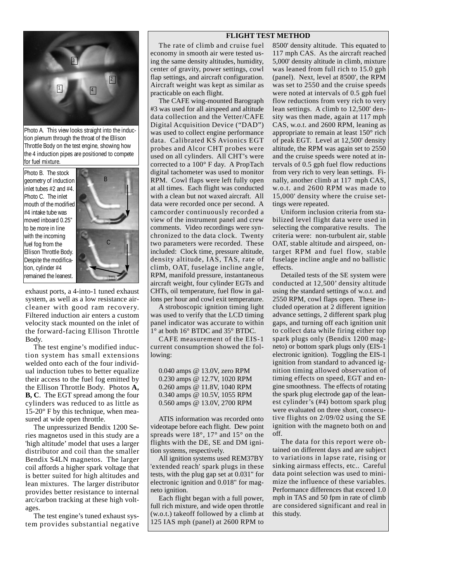#### **FLIGHT TEST METHOD**



Photo A. This view looks straight into the induction plenum through the throat of the Ellison Throttle Body on the test engine, showing how the 4 induction pipes are positioned to compete for fuel mixture.

Photo B. The stock geometry of induction inlet tubes #2 and #4. Photo C. The inlet mouth of the modified #4 intake tube was moved inboard 0.25" to be more in line with the incoming fuel fog from the Ellison Throttle Body. Despite the modification, cylinder #4 remained the leanest.



exhaust ports, a 4-into-1 tuned exhaust system, as well as a low resistance aircleaner with good ram recovery. Filtered induction air enters a custom velocity stack mounted on the inlet of the forward-facing Ellison Throttle Body.

The test engine's modified induction system has small extensions welded onto each of the four individual induction tubes to better equalize their access to the fuel fog emitted by the Ellison Throttle Body. Photos **A, B, C**. The EGT spread among the four cylinders was reduced to as little as 15-20° F by this technique, when measured at wide open throttle.

The unpressurized Bendix 1200 Series magnetos used in this study are a 'high altitude' model that uses a larger distributor and coil than the smaller Bendix S4LN magnetos. The larger coil affords a higher spark voltage that is better suited for high altitudes and lean mixtures. The larger distributor provides better resistance to internal arc/carbon tracking at these high voltages.

The test engine's tuned exhaust system provides substantial negative

The rate of climb and cruise fuel economy in smooth air were tested using the same density altitudes, humidity, center of gravity, power settings, cowl flap settings, and aircraft configuration. Aircraft weight was kept as similar as practicable on each flight.

The CAFE wing-mounted Barograph #3 was used for all airspeed and altitude data collection and the Vetter/CAFE Digital Acquisition Device ("DAD") was used to collect engine performance data. Calibrated KS Avionics EGT probes and Alcor CHT probes were used on all cylinders. All CHT's were corrected to a 100° F day. A PropTach digital tachometer was used to monitor RPM. Cowl flaps were left fully open at all times. Each flight was conducted with a clean but not waxed aircraft. All data were recorded once per second. A camcorder continuously recorded a view of the instrument panel and crew comments. Video recordings were synchronized to the data clock. Twenty two parameters were recorded. These included: Clock time, pressure altitude, density altitude, IAS, TAS, rate of climb, OAT, fuselage incline angle, RPM, manifold pressure, instantaneous aircraft weight, four cylinder EGTs and CHTs, oil temperature, fuel flow in gallons per hour and cowl exit temperature.

A stroboscopic ignition timing light was used to verify that the LCD timing panel indicator was accurate to within 1° at both 16° BTDC and 35° BTDC.

CAFE measurement of the EIS-1 current consumption showed the following:

| 0.040 amps @ 13.0V, zero RPM |
|------------------------------|
| 0.230 amps @ 12.7V, 1020 RPM |
| 0.260 amps @ 11.8V, 1040 RPM |
| 0.340 amps @ 10.5V, 1055 RPM |
| 0.560 amps @ 13.0V, 2700 RPM |

ATIS information was recorded onto videotape before each flight. Dew point spreads were 18°, 17° and 15° on the flights with the DE, SE and DM ignition systems, respectively.

All ignition systems used REM37BY 'extended reach' spark plugs in these tests, with the plug gap set at 0.031" for electronic ignition and 0.018" for magneto ignition.

Each flight began with a full power, full rich mixture, and wide open throttle (w.o.t.) takeoff followed by a climb at 125 IAS mph (panel) at 2600 RPM to

8500' density altitude. This equated to 117 mph CAS. As the aircraft reached 5,000' density altitude in climb, mixture was leaned from full rich to 15.0 gph (panel). Next, level at 8500', the RPM was set to 2550 and the cruise speeds were noted at intervals of 0.5 gph fuel flow reductions from very rich to very lean settings. A climb to 12,500' density was then made, again at 117 mph CAS, w.o.t. and 2600 RPM, leaning as appropriate to remain at least 150° rich of peak EGT. Level at 12,500' density altitude, the RPM was again set to 2550 and the cruise speeds were noted at intervals of 0.5 gph fuel flow reductions from very rich to very lean settings. Finally, another climb at 117 mph CAS, w.o.t. and 2600 RPM was made to 15,000' density where the cruise settings were repeated.

Uniform inclusion criteria from stabilized level flight data were used in selecting the comparative results. The criteria were: non-turbulent air, stable OAT, stable altitude and airspeed, ontarget RPM and fuel flow, stable fuselage incline angle and no ballistic effects.

Detailed tests of the SE system were conducted at 12,500' density altitude using the standard settings of w.o.t. and 2550 RPM, cowl flaps open. These included operation at 2 different ignition advance settings, 2 different spark plug gaps, and turning off each ignition unit to collect data while firing either top spark plugs only (Bendix 1200 magneto) or bottom spark plugs only (EIS-1 electronic ignition). Toggling the EIS-1 ignition from standard to advanced ignition timing allowed observation of timing effects on speed, EGT and engine smoothness. The effects of rotating the spark plug electrode gap of the leanest cylinder's (#4) bottom spark plug were evaluated on three short, consecutive flights on 2/09/02 using the SE ignition with the magneto both on and off.

The data for this report were obtained on different days and are subject to variations in lapse rate, rising or sinking airmass effects, etc.. Careful data point selection was used to minimize the influence of these variables. Performance differences that exceed 1.0 mph in TAS and 50 fpm in rate of climb are considered significant and real in this study.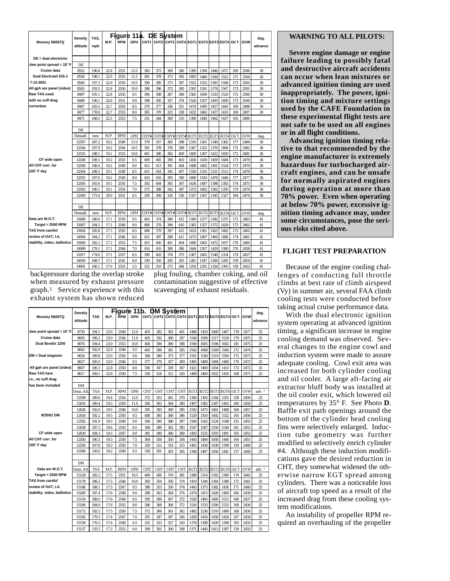|                              | Densitv         | TAS.  |      |            | Figure 11a. DE System |      |                                                    |      |      |      |                  |      |      |        |            | deg.      |
|------------------------------|-----------------|-------|------|------------|-----------------------|------|----------------------------------------------------|------|------|------|------------------|------|------|--------|------------|-----------|
| Mooney N6057Q                | altitude        | mph   | M.P. | <b>RPM</b> | GPH                   |      | CHT1 CHT2 CHT3 CHT4 EGT1 EGT2 EGT3 EGT4 Oil T. GVW |      |      |      |                  |      |      |        |            | advance   |
|                              |                 |       |      |            |                       |      |                                                    |      |      |      |                  |      |      |        |            |           |
| $DE = dual$ electronic       |                 |       |      |            |                       |      |                                                    |      |      |      |                  |      |      |        |            |           |
| dew point spread = 18° F     | DE.             |       |      |            |                       |      |                                                    |      |      |      |                  |      |      |        |            |           |
| Cruise data                  | 8552            | 196.6 | 22.8 | 2551       | 12.5                  | 383  | 373                                                | 369  | 380  | 1399 | 1394             | 1446 | 1471 | 169    | 2506       | 30        |
| <b>Dual Electroair EIS-1</b> | 8558            | 198.1 | 22.9 | 2555       | 11.5                  | 381  | 378                                                | 373  | 382  | 1483 | 1480             | 1509 | 1522 | 171    | 2504       | 30        |
| 7-13-2001                    | 8549            | 197.3 | 22.9 | 2550       | 10.5                  | 390  | 385                                                | 373  | 387  | 1552 | 1552             | 1583 | 1598 | 173    | 2503       | 30        |
| All gph are panel (video)    | 8503            | 193.5 | 22.8 | 2550       | 10.0                  | 398  | 396                                                | 372  | 383  | 1591 | 1591             | 1574 | 1567 | 173    | 2501       | 30        |
| <b>Raw TAS used</b>          | 8497            | 191.1 | 22.8 | 2550       | 9.5                   | 396  | 398                                                | 367  | 380  | 1565 | 1606             | 1533 | 1529 | 172    | 2500       | 30        |
| with no cuff drag            | 8498            | 190.1 | 22.8 | 2551       | 9.0                   | 398  | 395                                                | 357  | 374  | 1526 | 1557             | 1493 | 1490 | 173    | 2500       | 30        |
| correction                   | 8487            | 183.5 | 22.7 | 2550       | 8.5                   | 379  | 377                                                | 336  | 351  | 1474 | 1495             | 1457 | 1445 | 169    | 2498       | 30        |
|                              | 8477            | 178.8 | 22.7 | 2553       | 8.0                   | 365  | 370                                                | 323  | 338  | 1432 | 1462             | 1437 | 1410 | 169    | 2497       | 30        |
|                              | 8471            | 168.5 | 22.5 | 2553       | 7.5                   | 331  | 344                                                | 300  | 310  | 1396 | 1446             | 1462 | 1437 | 165    | 2496       |           |
|                              |                 |       |      |            |                       |      |                                                    |      |      |      |                  |      |      |        |            |           |
|                              | DE.             |       |      |            |                       |      |                                                    |      |      |      |                  |      |      |        |            |           |
|                              | Densalt.        | new   | M.P. | <b>RPM</b> | <b>GPH</b>            | CHT# | CHT#                                               | CHT# | CHT# | EGT1 | EGT <sub>2</sub> | EGT3 | EGT4 | Oil T  | GVW        | deg.      |
|                              | 12507           | 187.2 | 19.2 | 2549       | 11.0                  | 379  | 357                                                | 382  | 398  | 1316 | 1261             | 1340 | 1362 | 177    | 2484       | 36        |
|                              | 12544           | 187.9 | 19.2 | 2544       | 10.5                  | 391  | 378                                                | 376  | 389  | 1367 | 1322             | 1370 | 1408 | 172    | 2482       | 36        |
|                              | 12525           | 188.1 | 19.1 | 2552       | 10.0                  | 401  | 386                                                | 382  | 400  | 1400 | 1367             | 1422 | 1450 | 172    | 2481       | 36        |
| CF wide open                 | 12549           | 189.1 | 19.2 | 2555       | 9.5                   | 409  | 405                                                | 390  | 403  | 1458 | 1430             | 1459 | 1484 | 173    | 2479       | 36        |
| All CHT corr. for            | 12569           | 188.4 | 19.2 | 2549       | 9.0                   | 413  | 413                                                | 391  | 404  | 1488 | 1462             | 1491 | 1524 | 173    | 2479       | 36        |
| 100° F day                   | 12564           | 188.3 | 19.1 | 2548       | 8.5                   | 415  | 418                                                | 392  | 407  | 1526 | 1516             | 1521 | 1513 | 174    | 2478       | 36        |
|                              | 12555           | 187.6 | 19.2 | 2549       | 8.0                   | 410  | 416                                                | 393  | 390  | 1490 | 1543             | 1476 | 1446 | 177    | 2477       | 36        |
|                              | 12565           | 183.6 | 19.1 | 2550       | 7.5                   | 392  | 404                                                | 365  | 367  | 1436 | 1487             | 1398 | 1383 | 174    | 2475       | 36        |
|                              | 12563           | 180.1 | 19.1 | 2554       | 7.0                   | 373  | 388                                                | 342  | 347  | 1373 | 1402             | 1362 | 1350 | 170    | 2474       | 36        |
|                              | 12569           | 173.4 | 18.9 | 2551       | 6.5                   | 359  | 369                                                | 324  | 330  | 1337 | 1367             | 1345 | 1327 | 164    | 2474       | 36        |
|                              |                 |       |      |            |                       |      |                                                    |      |      |      |                  |      |      |        |            |           |
|                              | DE.<br>Densalt. | new   | M.P  | <b>RPM</b> | <b>GPH</b>            | CHT# | CHT#                                               | CHT# | CHT# | EGT1 | EGT <sub>2</sub> | EGT3 | EGT4 | Oil T. | <b>GVW</b> |           |
| Data are W.O.T.              | 15008           | 180.0 | 17.1 | 2550       | 9.5                   | 403  | 374                                                | 389  | 412  | 1349 | 1277             | 1342 | 1375 | 173    | 2463       | deg<br>41 |
| <b>Target = 2550 RPM</b>     | 15007           | 184.2 | 17.1 | 2549       | 9.0                   | 408  | 378                                                | 394  | 410  | 1382 | 1327             | 1372 | 1429 | 173    | 2462       | 41        |
| <b>TAS from careful</b>      | 15004           | 185.8 | 17.3 | 2550       | 8.5                   | 408  | 379                                                | 397  | 412  | 1433 | 1361             | 1425 | 1462 | 173    | 2462       | 41        |
| lreview of OAT. I.A.         | 14994           | 184.2 | 17.1 | 2546       | 8.0                   | 415  | 387                                                | 398  | 411  | 1473 | 1407             | 1460 | 1486 | 174    | 2461       | 41        |
| stability, video, ballistics | 15000           | 182.2 | 17.2 | 2553       | 7.5                   | 415  | 400                                                | 401  | 404  | 1496 | 1462             | 1472 | 1457 | 178    | 2460       | 41        |
|                              | 14989           | 179.1 | 17.1 | 2546       | 7.0                   | 414  | 410                                                | 389  | 386  | 1444 | 1507             | 1429 | 1380 | 176    | 2458       | 41        |
|                              | 15017           | 174.6 | 17.1 | 2557       | 6.5                   | 390  | 403                                                | 374  | 373  | 1367 | 1462             | 1346 | 1334 | 174    | 2457       | 41        |
|                              | 14929           | 168.7 | 17.1 | 2541       | 6.0                   | 330  | 350                                                | 295  | 303  | 1281 | 1347             | 1284 | 1265 | 159    | 2454       | 41        |
|                              | 14901           | 160.1 | 17.0 | 2555       | 5.5                   | 315  | 333                                                | 275  | 284  | 1250 | 1291             | 1324 | 1305 | 158    | 2453       | 41        |

backpressure during the overlap stroke when measured by exhaust pressure graph.1 Service experience with this exhaust system has shown reduced

plug fouling, chamber coking, and oil contamination suggestive of effective scavenging of exhaust residuals.

| Moonev N6057Q                     | <b>Density</b><br>altitude | <b>TAS</b> | M.P. | <b>RPM</b> | Figure 11b.<br><b>GPH</b> | СНТ1  СНТ2  СНТ3  СНТ4  ЕGT1  ЕGT2  ЕGT3 ЕGT4  Oil T.  GVW |            | <b>DM System</b> |            |      |                  |      |                  |       |            | deg.<br>advance |
|-----------------------------------|----------------------------|------------|------|------------|---------------------------|------------------------------------------------------------|------------|------------------|------------|------|------------------|------|------------------|-------|------------|-----------------|
| dew point spread = $15^{\circ}$ F | 8730                       | 194.1      | 23.0 | 2549       | 12.0                      | 403                                                        | 382        | 382              | 401        | 1486 | 1450             | 1469 | 1467             | 178   | 2477       | 25              |
| Cruise data                       | 8693                       | 196.2      | 23.0 | 2544       | 11.0                      | 405                                                        | 392        | 380              | 397        | 1544 | 1509             | 1517 | 1529             | 179   | 2475       | 25              |
| Dual Bendix 1200                  | 8674                       | 194.4      | 23.0 | 2553       | 10.0                      | 406                                                        | 394        | 380              | 398        | 1590 | 1605             | 1594 | 1602             | 181   | 2475       | 25              |
|                                   | 8662                       | 192.9      | 22.9 | 2548       | 9.5                       | 405                                                        | 396        | 381              | 395        | 1542 | 1608             | 1569 | 1560             | 172   | 2474       | 25              |
| DM = Dual magneto                 | 8634                       | 189.8      | 23.0 | 2550       | 9.0                       | 384                                                        | 380        | 373              | 377        | 1501 | 1540             | 1519 | 1509             | 175   | 2473       | 25              |
|                                   | 8627                       | 185.0      | 23.0 | 2546       | 8.5                       | 377                                                        | 370        | 357              | 369        | 1465 | 1489             | 1484 | 1466             | 176   | 2472       | 25              |
| All gph are panel (video)         | 8607                       | 180.3      | 22.8 | 2550       | 8.0                       | 356                                                        | 347        | 339              | 347        | 1421 | 1460             | 1454 | 1415             | 172   | 2472       | 25              |
| <b>Raw TAS here</b>               | 8617                       | 169.1      | 22.8 | 2550       | 7.5                       | 330                                                        | 316        | 312              | 320        | 1408 | 1460             | 1452 | 1416             | 168   | 2471       | 25              |
| i.e., no cuff drag                |                            |            |      |            |                           |                                                            |            |                  |            |      |                  |      |                  |       |            |                 |
| lhas been included                | DМ                         |            |      |            |                           |                                                            |            |                  |            |      |                  |      |                  |       |            |                 |
|                                   | Dens. Alt                  | <b>TAS</b> | M.P  | <b>RPM</b> | <b>GPH</b>                | <b>CHT</b>                                                 | <b>CHT</b> | <b>CHT</b>       | <b>CHT</b> | EGT1 | EGT <sub>2</sub> | EGT3 | EGT <sub>4</sub> | Oil T | GVW        | adv. °          |
|                                   | 12599                      | 189.6      | 19.4 | 2554       | 12.0                      | 372                                                        | 352        | 361              | 370        | 1364 | 1305             | 1344 | 1355             | 158   | 2459       | 25              |
|                                   | 12616                      | 189.4      | 19.5 | 2550       | 11.0                      | 392                                                        | 363        | 364              | 380        | 1407 | 1382             | 1387 | 1402             | 160   | 2458       | 25              |
|                                   | 12626                      | 192.0      | 19.5 | 2546       | 10.0                      | 395                                                        | 383        | 369              | 385        | 1502 | 1475             | 1461 | 1488             | 169   | 2457       | 25              |
| 8/25/01 DM                        | 12618                      | 192.2      | 19.5 | 2550       | 9.5                       | 408                                                        | 385        | 368              | 386        | 1529 | 1503             | 1492 | 1522             | 165   | 2456       | 25              |
|                                   | 12592                      | 191.9      | 19.5 | 2546       | 9.0                       | 394                                                        | 390        | 380              | 387        | 1560 | 1545             | 1524 | 1548             | 155   | 2455       | 25              |
|                                   | 12638                      | 187.3      | 19.4 | 2550       | 8.5                       | 394                                                        | 389        | 382              | 383        | 1547 | 1587             | 1550 | 1544             | 161   | 2453       | 25              |
| CF wide open                      | 12630                      | 184.3      | 19.5 | 2547       | 8.0                       | 381                                                        | 380        | 366              | 368        | 1492 | 1525             | 1503 | 1491             | 165   | 2452       | 25              |
| All CHT corr, for                 | 12593                      | 180.3      | 19.3 | 2550       | 7.5                       | 364                                                        | 356        | 350              | 356        | 1443 | 1464             | 1458 | 1440             | 164   | 2451       | 25              |
| 100° F dav                        | 12526                      | 167.8      | 19.3 | 2550       | 7.0                       | 329                                                        | 312        | 314              | 315        | 1401 | 1436             | 1430 | 1399             | 159   | 2449       | 25              |
|                                   | 12500                      | 156.9      | 19.2 | 2549       | 6.5                       | 318                                                        | 301        | 303              | 305        | 1394 | 1467             | 1456 | 1441             | 157   | 2449       | 25              |
|                                   |                            |            |      |            |                           |                                                            |            |                  |            |      |                  |      |                  |       |            |                 |
|                                   | DM                         |            |      |            |                           |                                                            |            |                  |            |      |                  |      |                  |       |            |                 |
| Data are W.O.T.                   | Dens. Alt                  | <b>TAS</b> | M.P. | <b>RPM</b> | <b>GPH</b>                | <b>CHT</b>                                                 | <b>CHT</b> | <b>CHT</b>       | <b>CHT</b> | EGT1 | EGT <sub>2</sub> | EGT3 | EGT4             | Oil T | <b>GVW</b> | adv. °          |
| $Target = 2550$ RPM               | 15128                      | 182.3      | 17.5 | 2551       | 10.5                      | 400                                                        | 366        | 370              | 381        | 1380 | 1314             | 1342 | 1360             | 174   | 2442       | 25              |
| <b>ITAS from careful</b>          | 15178                      | 186.2      | 17.5 | 2546       | 10.0                      | 383                                                        | 354        | 356              | 374        | 1419 | 1344             | 1364 | 1386             | 172   | 2441       | 25              |
| lreview of OAT. I.A.              | 15186                      | 188.1      | 17.5 | 2547       | 9.5                       | 380                                                        | 353        | 356              | 374        | 1443 | 1373             | 1382 | 1436             | 171   | 2440       | 25              |
| stability, video, ballistics      | 15200                      | 187.4      | 17.6 | 2548       | 9.0                       | 389                                                        | 363        | 364              | 374        | 1474 | 1415             | 1428 | 1466             | 166   | 2439       | 25              |
|                                   | 15154                      | 188.0      | 17.6 | 2548       | 8.5                       | 393                                                        | 369        | 367              | 372        | 1520 | 1483             | 1466 | 1513             | 166   | 2437       | 25              |
|                                   | 15190                      | 184.9      | 17.6 | 2552       | 8.0                       | 386                                                        | 368        | 366              | 372        | 1516 | 1533             | 1506 | 1525             | 169   | 2436       | 25              |
|                                   | 15172                      | 183.2      | 17.5 | 2550       | 7.5                       | 372                                                        | 366        | 361              | 362        | 1482 | 1536             | 1510 | 1480             | 168   | 2434       | 25              |
|                                   | 15165                      | 179.3      | 17.4 | 2547       | 7.0                       | 355                                                        | 347        | 347              | 344        | 1429 | 1454             | 1458 | 1424             | 167   | 2434       | 25              |
|                                   | 15139                      | 170.3      | 17.4 | 2549       | 6.5                       | 331                                                        | 323        | 327              | 320        | 1374 | 1388             | 1420 | 1368             | 163   | 2433       | 25              |
|                                   | 15137                      | 155.5      | 17.2 | 2553       | 6.0                       | 309                                                        | 302        | 306              | 298        | 1371 | 1440             | 1413 | 1387             | 159   | 2432       | 25              |

#### **WARNING TO ALL PILOTS:**

**Severe engine damage or engine failure leading to possibly fatal and destructive aircraft accidents can occur when lean mixtures or advanced ignition timing are used inappropriately. The power, ignition timing and mixture settings used by the CAFE Foundation in these experimental flight tests are not safe to be used on all engines or in all flight conditions.**

**Advancing ignition timing relative to that recommended by the engine manufacturer is extremely hazardous for turbocharged aircraft engines, and can be unsafe for normally aspirated engines during operation at more than 70% power. Even when operating at below 70% power, excessive ignition timing advance may, under some circumstances, pose the serious risks cited above.**

#### **FLIGHT TEST PREPARATION**

Because of the engine cooling challenges of conducting full throttle climbs at best rate of climb airspeed (Vy) in summer air, several FAA climb cooling tests were conducted before taking actual cruise performance data.

With the dual electronic ignition system operating at advanced ignition timing, a significant increase in engine cooling demand was observed. Several changes to the engine cowl and induction system were made to assure adequate cooling. Cowl exit area was increased for both cylinder cooling and oil cooler. A large aft-facing air extractor bluff body was installed at the oil cooler exit, which lowered oil temperatures by 35° F. See Photo **D**. Baffle exit path openings around the bottom of the cylinder head cooling fins were selectively enlarged. Induction tube geometry was further modified to selectively enrich cylinder #4. Although these induction modifications gave the desired reduction in CHT, they somewhat widened the otherwise narrow EGT spread among cylinders. There was a noticeable loss of aircraft top speed as a result of the increased drag from these cooling system modifications.

An instability of propeller RPM required an overhauling of the propeller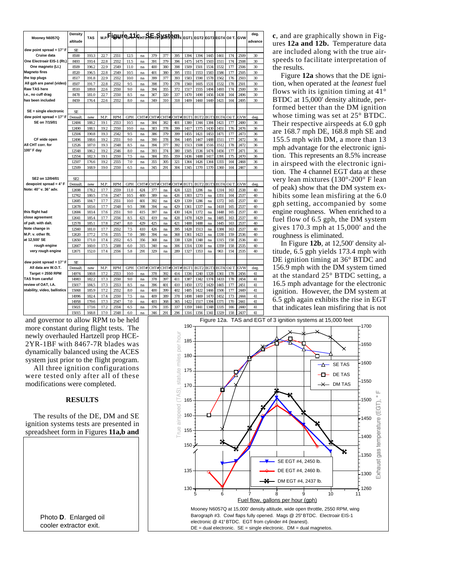|                                                  | <b>Density</b>  | <b>TAS</b>     |              |              | M.P <b>Figure</b> 41 GHT SETS WISSON4 EGT1 EGT2 EGT3 EGT4 OILT. |          |            |            |            |              |                  |              |                  |            |              | deg.     |
|--------------------------------------------------|-----------------|----------------|--------------|--------------|-----------------------------------------------------------------|----------|------------|------------|------------|--------------|------------------|--------------|------------------|------------|--------------|----------|
| Mooney N6057Q                                    | altitude        |                |              |              |                                                                 |          |            |            |            |              |                  |              |                  |            | GVW          | advance  |
|                                                  |                 |                |              |              |                                                                 |          |            |            |            |              |                  |              |                  |            |              |          |
| dew point spread = $17^{\circ}$ F                | <b>SE</b>       |                |              |              |                                                                 |          |            |            |            |              |                  |              |                  |            |              |          |
| <b>Cruise data</b><br>One Electroair EIS-1 (Rt.) | 8500            | 193.3          | 22.7         | 2551         | 12.5                                                            | na       | 379        | 377        | 395        | 1394         | 1394             | 1445         | 1461             | 174        | 2509         | 30       |
| One magneto (Lt.)                                | 8493            | 193.4          | 22.8         | 2552         | 11.5                                                            | na       | 391        | 379        | 396        | 1475         | 1475             | 1503         | 1511             | 174        | 2508<br>2506 | 30       |
| <b>Magneto fires</b>                             | 8509            | 196.2<br>196.5 | 22.9<br>22.8 | 2549<br>2549 | 11.0                                                            | na       | 400<br>401 | 380<br>380 | 398<br>395 | 1509<br>1551 | 1501<br>1553     | 1534         | 1532             | 177        | 2505         | 30<br>30 |
| the top plugs                                    | 8520            |                |              |              | 10.5                                                            | na       |            |            |            |              |                  | 1583         | 1586             | 177        |              |          |
| All gph are panel (video)                        | 8517<br>8507    | 191.8<br>191.7 | 22.9<br>22.8 | 2552<br>2552 | 10.0<br>9.5                                                     | na       | 399<br>398 | 377<br>370 | 393<br>378 | 1583<br>1560 | 1590<br>1605     | 1578<br>1531 | 1562<br>1532     | 176<br>178 | 2503<br>2501 | 30<br>30 |
| Raw TAS here                                     | 8510            | 189.8          | 22.6         | 2550         | 9.0                                                             | na       | 394        | 355        | 372        | 1517         | 1555             | 1494         | 1493             | 174        | 2500         | 30       |
| i.e., no cuff drag                               | 8478            | 181.0          | 22.7         | 2550         | 8.5                                                             | na<br>na | 367        | 320        | 337        | 1470         | 1490             | 1456         | 1438             | 164        | 2496         | 30       |
| has been included                                | 8459            | 176.4          | 22.6         | 2552         | 8.0                                                             |          | 349        | 310        | 318        | 1409         | 1460             | 1449         | 1421             | 164        | 2495         | 30       |
|                                                  |                 |                |              |              |                                                                 | na       |            |            |            |              |                  |              |                  |            |              |          |
| $SE = single$ electronic                         | SE.             |                |              |              |                                                                 |          |            |            |            |              |                  |              |                  |            |              |          |
| dew point spread = $17^{\circ}$ F                | <b>Densalt</b>  | new            | M.P          | <b>RPM</b>   | <b>GPH</b>                                                      | CHT#     | CHT#       | CHT#       | CHT#       | EGT1         | EGT <sub>2</sub> | EGT3         | EGT4             | Oil T      | GVW          | deg.     |
| SE on 7/15/01                                    | 12484           | 188.2          | 19.1         | 2553         | 10.5                                                            | na       | 384        | 382        | 401        | 1380         | 1344             | 1384         | 1421             | 177        | 2480         | 36       |
|                                                  | 12490           | 188.1          | 19.2         | 2550         | 10.0                                                            | na       | 383        | 378        | 399        | 1417         | 1375             | 1430         | 1451             | 176        | 2476         | 36       |
|                                                  | 12504           | 190.8          | 19.3         | 2542         | 9.5                                                             | na       | 386        | 379        | 399        | 1455         | 1421             | 1453         | 1471             | 177        | 2473         | 36       |
| CF wide open                                     | 12496           | 188.6          | 19.2         | 2551         | 9.0                                                             | na       | 390        | 378        | 394        | 1495         | 1467             | 1488         | 1511             | 177        | 2472         | 36       |
| All CHT corr, for                                | 12526           | 187.0          | 19.3         | 2548         | 8.5                                                             | na       | 394        | 377        | 392        | 1513         | 1508             | 1516         | 1512             | 178        | 2472         | 36       |
| 100° F dav                                       | 12548           | 186.2          | 19.2         | 2546         | 8.0                                                             | na       | 393        | 374        | 380        | 1505         | 1536             | 1474         | 1456             | 177        | 2471         | 36       |
|                                                  | 12554           | 182.3          | 19.1         | 2550         | 7.5                                                             | na       | 384        | 355        | 359        | 1436         | 1488             | 1417         | 1391             | 175        | 2470         | 36       |
|                                                  | 12507           | 176.6          | 19.2         | 2555         | 7.0                                                             | na       | 355        | 305        | 321        | 1364         | 1426             | 1364         | 1355             | 164        | 2468         | 36       |
|                                                  | 12509           | 168.9          | 19.0         | 2550         | 6.5                                                             | na       | 345        | 291        | 304        | 1345         | 1370             | 1370         | 1360             | 164        | 2467         | 36       |
|                                                  |                 |                |              |              |                                                                 |          |            |            |            |              |                  |              |                  |            |              |          |
| SE2 on 12/04/01                                  | SE <sub>2</sub> |                |              |              |                                                                 |          |            |            |            |              |                  |              |                  |            |              |          |
| dewpoint spread = $4^\circ$ F                    | Densalt.        | new            | M.P          | <b>RPM</b>   | <b>GPH</b>                                                      | CHT#     | CHT#       | CHT#       | CHT#       | EGT1         | EGT <sub>2</sub> | EGT3         | EGT <sub>4</sub> | Oil T      | GVW          | deg.     |
| Note: 40° v. 36° adv.                            | 12698           | 178.2          | 17.7         | 2559         | 11.0                                                            | 424      | 377        | na         | 424        | 1221         | 1206             | na           | 1314             | 163        | 2538         | 40       |
|                                                  | 12762           | 180.5          | 17.6         | 2547         | 10.5                                                            | 400      | 389        | na         | 426        | 1303         | 1273             | na           | 1351             | 164        | 2537         | 40       |
|                                                  | 12685           | 184.7          | 17.7         | 2551         | 10.0                                                            | 401      | 392        | na         | 429        | 1339         | 1286             | na           | 1372             | 165        | 2537         | 40       |
|                                                  | 12678           | 183.6          | 17.7         | 2548         | 9.5                                                             | 398      | 394        | na         | 429        | 1361         | 1337             | na           | 1418             | 165        | 2537         | 40       |
| this flight had                                  | 12684           | 183.4          | 17.6         | 2551         | 9.0                                                             | 415      | 397        | na         | 430        | 1424         | 1372             | na           | 1448             | 165        | 2537         | 40       |
| close agreement                                  | 12641           | 185.4          | 17.7         | 2556         | 8.5                                                             | 421      | 419        | na         | 428        | 1478         | 1429             | na           | 1485             | 163        | 2537         | 40       |
| of palt. with dalt.                              | 12578           | 185.1          | 17.8         | 2547         | 8.0                                                             | 429      | 425        | na         | 421        | 1488         | 1488             | na           | 1445             | 163        | 2537         | 40       |
| Note change in                                   | 12560           | 181.0          | 17.7         | 2552         | 7.5                                                             | 410      | 426        | na         | 395        | 1428         | 1513             | na           | 1384             | 163        | 2537         | 40       |
| M.P. v. other flt.                               | 12620           | 177.2          | 17.6         | 2555         | 7.0                                                             | 380      | 394        | na         | 368        | 1361         | 1423             | na           | 1330             | 159        | 2536         | 40       |
| at 12,500' SE                                    | 12650           | 171.0          | 17.4         | 2552         | 6.5                                                             | 356      | 368        | na         | 338        | 1328         | 1348             | na           | 1315             | 158        | 2536         | 40       |
| rough engine                                     | 12667           | 160.0          | 17.5         | 2588         | 6.0                                                             | 315      | 340        | na         | 306        | 1314         | 1330             | na           | 1359             | 158        | 2535         | 40       |
| very rough engine                                | 12671           | 152.0          | 17.4         | 2556         | 5.8                                                             | 291      | 329        | na         | 289        | 1327         | 1353             | na           | 963              | 154        | 2535         | 40       |
|                                                  |                 |                |              |              |                                                                 |          |            |            |            |              |                  |              |                  |            |              |          |
| dew point spread = $17^{\circ}$ F                | <b>SE</b>       |                |              |              |                                                                 |          |            |            |            |              |                  |              |                  |            |              |          |
| All data are W.O.T.                              | Densalt.        | new            | M.P          | <b>RPM</b>   | <b>GPH</b>                                                      | CHT#     | CHT#       | CHT#       | CHT#       | EGT1         | EGT <sub>2</sub> | EGT3         | EGT <sub>4</sub> | Oil T      | GVW          | deg.     |
| $Target = 2550$ RPM                              | 14974           | 180.8          | 17.2         | 2553         | 10.0                                                            | na       | 378        | 392        | 414        | 1336         | 1240             | 1328         | 1361             | 178        | 2456         | 41       |
| <b>TAS from careful</b>                          | 14983           | 182.2          | 17.3         | 2550         | 9.0                                                             | na       | 378        | 397        | 411        | 1387         | 1342             | 1374         | 1433             | 178        | 2454         | 41       |
| review of OAT, I.A.                              | 15017           | 184.5          | 17.3         | 2553         | 8.5                                                             | na       | 396        | 401        | 410        | 1450         | 1372             | 1429         | 1465             | 177        | 2451         | 41       |
| stability, video, ballistics                     | 15068           | 185.9          | 17.2         | 2552         | 8.0                                                             | na       | 400        | 399        | 402        | 1485         | 1422             | 1466         | 1506             | 177        | 2449         | 41       |
|                                                  | 14996           | 182.4          | 17.4         | 2550         | 7.5                                                             | na       | 409        | 389        | 378        | 1498         | 1469             | 1470         | 1452             | 173        | 2444         | 41       |
|                                                  | 14958           | 179.6          | 17.3         | 2547         | 7.0                                                             | na       | 403        | 368        | 365        | 1422         | 1517             | 1394         | 1371             | 170        | 2441         | 41       |
|                                                  | 15021           | 173.6          | 17.2         | 2554         | 6.5                                                             | na       | 376        | 335        | 337        | 1359         | 1441             | 1348         | 1335             | 166        | 2440         | 41       |
|                                                  | 15015           | 168.8          | 17.0         | 2548         | 6.0                                                             | na       | 346        | 291        | 296        | 1316         | 1356             | 1341         | 1329             | 158        | 2437         | 41       |

**c**, and are graphically shown in Figures **12a and 12b.** Temperature data are included along with the true airspeeds to facilitate interpretation of the results.

Figure **12a** shows that the DE ignition, when operated at the *leanest* fuel flows with its ignition timing at  $41^\circ$ BTDC at 15,000' density altitude, performed better than the DM ignition whose timing was set at 25° BTDC. Their respective airspeeds at 6.0 gph are 168.7 mph DE, 168.8 mph SE and 155.5 mph with DM, a more than 13 mph advantage for the electronic ignition. This represents an 8.5% increase in airspeed with the electronic ignition. The 4 channel EGT data at these very lean mixtures (130°-200° F lean of peak) show that the DM system exhibits some lean misfiring at the 6.0 gph setting, accompanied by some engine roughness. When enriched to a fuel flow of 6.5 gph, the DM system gives 170.3 mph at 15,000' and the roughness is eliminated.

In Figure **12b**, at 12,500' density altitude, 6.5 gph yields 173.4 mph with DE ignition timing at 36° BTDC and 156.9 mph with the DM system timed at the standard 25° BTDC setting, a 16.5 mph advantage for the electronic ignition. However, the DM system at 6.5 gph again exhibits the rise in EGT that indicates lean misfiring that is not

and governor to allow RPM to be held more constant during flight tests. The newly overhauled Hartzell prop HCE-2YR-1BF with 8467-7R blades was dynamically balanced using the ACES system just prior to the flight program.

All three ignition configurations were tested only after all of these modifications were completed.

#### **RESULTS**

The results of the DE, DM and SE ignition systems tests are presented in spreadsheet form in Figures **11a,b and**



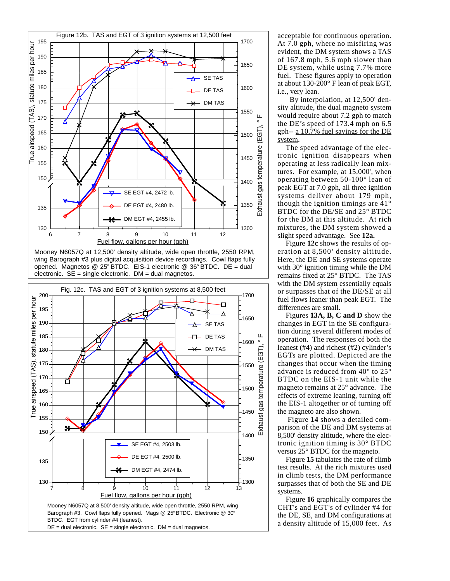

Mooney N6057Q at 12,500' density altitude, wide open throttle, 2550 RPM, wing Barograph #3 plus digital acquisition device recordings. Cowl flaps fully opened. Magnetos @ 25° BTDC. EIS-1 electronic @ 36° BTDC. DE = dual electronic. SE = single electronic. DM = dual magnetos.



acceptable for continuous operation. At 7.0 gph, where no misfiring was evident, the DM system shows a TAS of 167.8 mph, 5.6 mph slower than DE system, while using 7.7% more fuel. These figures apply to operation at about 130-200° F lean of peak EGT, i.e., very lean.

By interpolation, at 12,500' density altitude, the dual magneto system would require about 7.2 gph to match the DE's speed of 173.4 mph on 6.5 gph-- a 10.7% fuel savings for the DE system.

The speed advantage of the electronic ignition disappears when operating at less radically lean mixtures. For example, at 15,000', when operating between  $50-100^{\circ}$  lean of peak EGT at 7.0 gph, all three ignition systems deliver about 179 mph, though the ignition timings are  $41^\circ$ BTDC for the DE/SE and 25° BTDC for the DM at this altitude. At rich mixtures, the DM system showed a slight speed advantage. See 12a.

Figure 12c shows the results of operation at 8,500' density altitude. Here, the DE and SE systems operate with  $30^\circ$  ignition timing while the DM remains fixed at 25° BTDC. The TAS with the DM system essentially equals or surpasses that of the DE/SE at all fuel flows leaner than peak EGT. The differences are small.

Figures 13A, B, C and D show the changes in EGT in the SE configuration during several different modes of operation. The responses of both the leanest (#4) and richest (#2) cylinder's EGTs are plotted. Depicted are the changes that occur when the timing advance is reduced from 40 $^{\circ}$  to 25 $^{\circ}$ BTDC on the EIS-1 unit while the magneto remains at 25° advance. The effects of extreme leaning, turning off the EIS-1 altogether or of turning off the magneto are also shown.

Figure 14 shows a detailed comparison of the DE and DM systems at 8,500' density altitude, where the electronic ignition timing is  $30^\circ$  BTDC versus 25° BTDC for the magneto.

Figure 15 tabulates the rate of climb test results. At the rich mixtures used in climb tests, the DM performance surpasses that of both the SE and DE systems.

Figure 16 graphically compares the CHT's and EGT's of cylinder #4 for the DE, SE, and DM configurations at a density altitude of 15,000 feet. As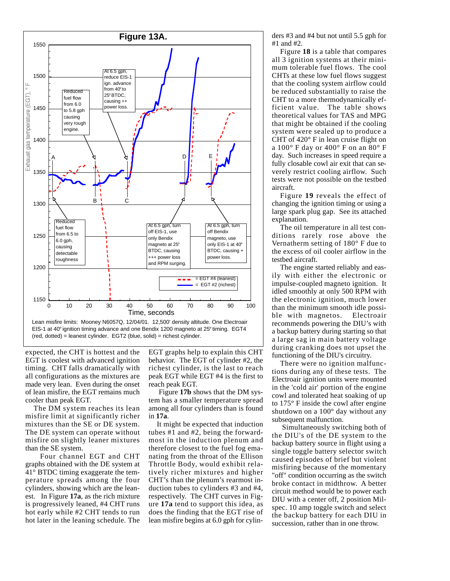

expected, the CHT is hottest and the EGT is coolest with advanced ignition timing. CHT falls dramatically with all configurations as the mixtures are made very lean. Even during the onset of lean misfire, the EGT remains much cooler than peak EGT.

The DM system reaches its lean misfire limit at significantly richer mixtures than the SE or DE system. The DE system can operate without misfire on slightly leaner mixtures than the SE system.

Four channel EGT and CHT graphs obtained with the DE system at 41° BTDC timing exaggerate the temperature spreads among the four cylinders, showing which are the leanest. In Figure **17a**, as the rich mixture is progressively leaned, #4 CHT runs hot early while #2 CHT tends to run hot later in the leaning schedule. The EGT graphs help to explain this CHT behavior. The EGT of cylinder #2, the richest cylinder, is the last to reach peak EGT while EGT #4 is the first to reach peak EGT.

Figure **17b** shows that the DM system has a smaller temperature spread among all four cylinders than is found in **17a**.

It might be expected that induction tubes #1 and #2, being the forwardmost in the induction plenum and therefore closest to the fuel fog emanating from the throat of the Ellison Throttle Body, would exhibit relatively richer mixtures and higher CHT's than the plenum's rearmost induction tubes to cylinders #3 and #4, respectively. The CHT curves in Figure **17a** tend to support this idea, as does the finding that the EGT rise of lean misfire begins at 6.0 gph for cylinders #3 and #4 but not until 5.5 gph for #1 and #2.

Figure **18** is a table that compares all 3 ignition systems at their minimum tolerable fuel flows. The cool CHTs at these low fuel flows suggest that the cooling system airflow could be reduced substantially to raise the CHT to a more thermodynamically efficient value. The table shows theoretical values for TAS and MPG that might be obtained if the cooling system were sealed up to produce a CHT of 420° F in lean cruise flight on a 100° F day or 400° F on an 80° F day. Such increases in speed require a fully closable cowl air exit that can severely restrict cooling airflow. Such tests were not possible on the testbed aircraft.

Figure **19** reveals the effect of changing the ignition timing or using a large spark plug gap. See its attached explanation.

The oil temperature in all test conditions rarely rose above the Vernatherm setting of 180° F due to the excess of oil cooler airflow in the testbed aircraft.

The engine started reliably and easily with either the electronic or impulse-coupled magneto ignition. It idled smoothly at only 500 RPM with the electronic ignition, much lower than the minimum smooth idle possible with magnetos. Electroair recommends powering the DIU's with a backup battery during starting so that a large sag in main battery voltage during cranking does not upset the functioning of the DIU's circuitry.

There were no ignition malfunctions during any of these tests. The Electroair ignition units were mounted in the 'cold air' portion of the engine cowl and tolerated heat soaking of up to 175° F inside the cowl after engine shutdown on a 100° day without any subsequent malfunction.

Simultaneously switching both of the DIU's of the DE system to the backup battery source in flight using a single toggle battery selector switch caused episodes of brief but violent misfiring because of the momentary "off" condition occurring as the switch broke contact in midthrow. A better circuit method would be to power each DIU with a center off, 2 position Milspec. 10 amp toggle switch and select the backup battery for each DIU in succession, rather than in one throw.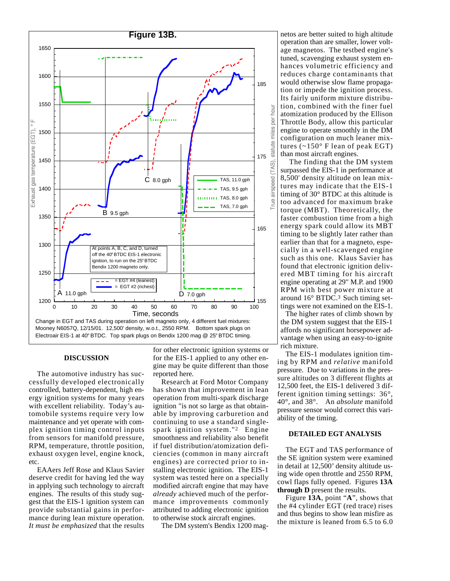

#### **DISCUSSION**

The automotive industry has successfully developed electronically controlled, battery-dependent, high energy ignition systems for many years with excellent reliability. Today's automobile systems require very low maintenance and yet operate with complex ignition timing control inputs from sensors for manifold pressure, RPM, temperature, throttle position, exhaust oxygen level, engine knock, etc.

**EAAers Jeff Rose and Klaus Savier** deserve credit for having led the way in applying such technology to aircraft engines. The results of this study suggest that the EIS-1 ignition system can provide substantial gains in performance during lean mixture operation. It must be emphasized that the results

for other electronic ignition systems or for the EIS-1 applied to any other engine may be quite different than those reported here.

**Research at Ford Motor Company** has shown that improvement in lean operation from multi-spark discharge ignition "is not so large as that obtainable by improving carburetion and continuing to use a standard singlespark ignition system."<sup>2</sup> Engine smoothness and reliability also benefit if fuel distribution/atomization deficiencies (common in many aircraft engines) are corrected prior to installing electronic ignition. The EIS-1 system was tested here on a specially modified aircraft engine that may have *already* achieved much of the performance improvements commonly attributed to adding electronic ignition to otherwise stock aircraft engines.

The DM system's Bendix 1200 mag-

netos are better suited to high altitude operation than are smaller, lower voltage magnetos. The testbed engine's tuned, scavenging exhaust system enhances volumetric efficiency and reduces charge contaminants that would otherwise slow flame propagation or impede the ignition process. Its fairly uniform mixture distribution, combined with the finer fuel atomization produced by the Ellison Throttle Body, allow this particular engine to operate smoothly in the DM configuration on much leaner mixtures  $(-150^{\circ}$  F lean of peak EGT) than most aircraft engines.

The finding that the DM system surpassed the EIS-1 in performance at 8,500' density altitude on lean mixtures may indicate that the EIS-1 timing of 30° BTDC at this altitude is too advanced for maximum brake torque (MBT). Theoretically, the faster combustion time from a high energy spark could allow its MBT timing to be slightly later rather than earlier than that for a magneto, especially in a well-scavenged engine such as this one. Klaus Savier has found that electronic ignition delivered MBT timing for his aircraft engine operating at 29" M.P. and 1900 RPM with best power mixture at around 16° BTDC.<sup>3</sup> Such timing settings were not examined on the EIS-1.

The higher rates of climb shown by the DM system suggest that the EIS-1 affords no significant horsepower advantage when using an easy-to-ignite rich mixture.

The EIS-1 modulates ignition timing by RPM and *relative* manifold pressure. Due to variations in the pressure altitudes on 3 different flights at 12,500 feet, the EIS-1 delivered 3 different ignition timing settings:  $36^\circ$ , 40°, and 38°. An absolute manifold pressure sensor would correct this variability of the timing.

#### **DETAILED EGT ANALYSIS**

The EGT and TAS performance of the SE ignition system were examined in detail at 12,500' density altitude using wide open throttle and 2550 RPM, cowl flaps fully opened. Figures 13A through D present the results.

Figure 13A, point "A", shows that the #4 cylinder EGT (red trace) rises and thus begins to show lean misfire as the mixture is leaned from 6.5 to 6.0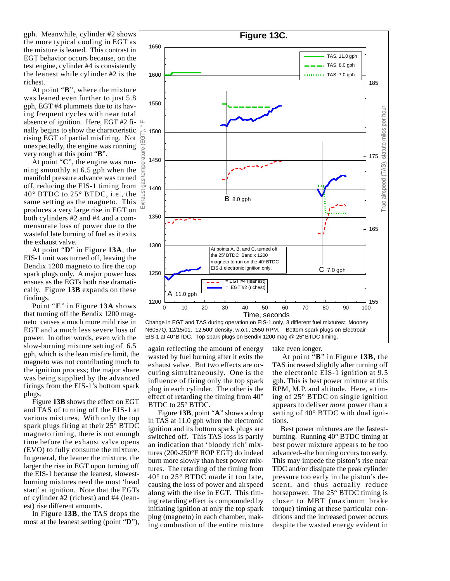gph. Meanwhile, cylinder #2 shows the more typical cooling in EGT as the mixture is leaned. This contrast in EGT behavior occurs because, on the test engine, cylinder #4 is consistently the leanest while cylinder #2 is the richest.

At point "B", where the mixture was leaned even further to just 5.8 gph, EGT #4 plummets due to its having frequent cycles with near total absence of ignition. Here, EGT #2 finally begins to show the characteristic rising EGT of partial misfiring. Not unexpectedly, the engine was running very rough at this point "B".

At point "C", the engine was running smoothly at 6.5 gph when the manifold pressure advance was turned off, reducing the EIS-1 timing from  $40^\circ$  BTDC to  $25^\circ$  BTDC, i.e., the same setting as the magneto. This produces a very large rise in EGT on both cylinders #2 and #4 and a commensurate loss of power due to the wasteful late burning of fuel as it exits the exhaust valve.

At point "D" in Figure 13A, the EIS-1 unit was turned off, leaving the Bendix 1200 magneto to fire the top spark plugs only. A major power loss ensues as the EGTs both rise dramatically. Figure 13B expands on these findings.

Point "E" in Figure 13A shows that turning off the Bendix 1200 magneto causes a much more mild rise in EGT and a much less severe loss of power. In other words, even with the slow-burning mixture setting of 6.5 gph, which is the lean misfire limit, the magneto was not contributing much to the ignition process; the major share was being supplied by the advanced firings from the EIS-1's bottom spark plugs.

Figure 13B shows the effect on EGT and TAS of turning off the EIS-1 at various mixtures. With only the top spark plugs firing at their 25° BTDC magneto timing, there is not enough time before the exhaust valve opens (EVO) to fully consume the mixture. In general, the leaner the mixture, the larger the rise in EGT upon turning off the EIS-1 because the leanest, slowestburning mixtures need the most 'head start' at ignition. Note that the EGTs of cylinder #2 (richest) and #4 (leanest) rise different amounts.

In Figure 13B, the TAS drops the most at the leanest setting (point "D"),



Change in EGT and TAS during operation on EIS-1 only, 3 different fuel mixtures: Mooney N6057Q, 12/15/01. 12,500' density, w.o.t., 2550 RPM. Bottom spark plugs on Electroair EIS-1 at 40° BTDC. Top spark plugs on Bendix 1200 mag @ 25° BTDC timing.

again reflecting the amount of energy wasted by fuel burning after it exits the exhaust valve. But two effects are occuring simultaneously. One is the influence of firing only the top spark plug in each cylinder. The other is the effect of retarding the timing from  $40^{\circ}$ BTDC to 25° BTDC.

Figure 13B, point "A" shows a drop in TAS at 11.0 gph when the electronic ignition and its bottom spark plugs are switched off. This TAS loss is partly an indication that 'bloody rich' mixtures (200-250°F ROP EGT) do indeed burn more slowly than best power mixtures. The retarding of the timing from 40° to 25° BTDC made it too late, causing the loss of power and airspeed along with the rise in EGT. This timing retarding effect is compounded by initiating ignition at only the top spark plug (magneto) in each chamber, making combustion of the entire mixture

take even longer.

At point "B" in Figure 13B, the TAS increased slightly after turning off the electronic EIS-1 ignition at 9.5 gph. This is best power mixture at this RPM, M.P. and altitude. Here, a timing of 25° BTDC on single ignition appears to deliver *more* power than a setting of 40° BTDC with dual ignitions.

Best power mixtures are the fastestburning. Running 40° BTDC timing at best power mixture appears to be too advanced--the burning occurs too early. This may impede the piston's rise near TDC and/or dissipate the peak cylinder pressure too early in the piston's descent, and thus actually reduce horsepower. The 25° BTDC timing is closer to MBT (maximum brake torque) timing at these particular conditions and the increased power occurs despite the wasted energy evident in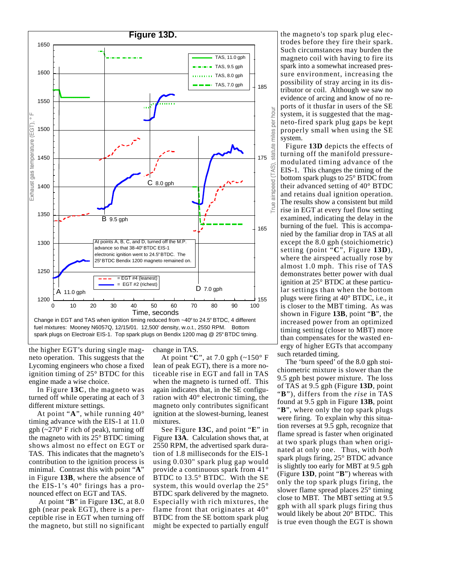

the higher EGT's during single magneto operation. This suggests that the Lycoming engineers who chose a fixed ignition timing of 25° BTDC for this engine made a wise choice.

In Figure 13C, the magneto was turned off while operating at each of 3 different mixture settings.

At point "A", while running  $40^{\circ}$ timing advance with the EIS-1 at 11.0 gph  $(\sim 270^\circ$  F rich of peak), turning off the magneto with its  $25^{\circ}$  BTDC timing shows almost no effect on EGT or TAS. This indicates that the magneto's contribution to the ignition process is minimal. Contrast this with point "A" in Figure 13B, where the absence of the EIS-1's  $40^{\circ}$  firings has a pronounced effect on EGT and TAS.

At point "B" in Figure 13C, at 8.0 gph (near peak EGT), there is a perceptible rise in EGT when turning off the magneto, but still no significant change in TAS.

At point "C", at 7.0 gph  $\left(\sim 150^{\circ} \text{ F}\right)$ lean of peak EGT), there is a more noticeable rise in EGT and fall in TAS when the magneto is turned off. This again indicates that, in the SE configuration with 40° electronic timing, the magneto only contributes significant ignition at the slowest-burning, leanest mixtures.

See Figure 13C, and point "E" in Figure 13A. Calculation shows that, at 2550 RPM, the advertised spark duration of 1.8 milliseconds for the EIS-1 using 0.030" spark plug gap would provide a continuous spark from  $41^{\circ}$ BTDC to 13.5° BTDC. With the SE system, this would overlap the  $25^{\circ}$ BTDC spark delivered by the magneto. Especially with rich mixtures, the flame front that originates at  $40^{\circ}$ BTDC from the SE bottom spark plug might be expected to partially engulf the magneto's top spark plug electrodes before they fire their spark. Such circumstances may burden the magneto coil with having to fire its spark into a somewhat increased pressure environment, increasing the possibility of stray arcing in its distributor or coil. Although we saw no evidence of arcing and know of no reports of it thus far in users of the SE system, it is suggested that the magneto-fired spark plug gaps be kept properly small when using the SE system.

Figure 13D depicts the effects of turning off the manifold pressuremodulated timing advance of the EIS-1. This changes the timing of the bottom spark plugs to 25° BTDC from their advanced setting of 40° BTDC and retains dual ignition operation. The results show a consistent but mild rise in EGT at every fuel flow setting examined, indicating the delay in the burning of the fuel. This is accompanied by the familiar drop in TAS at all except the 8.0 gph (stoichiometric) setting (point "C", Figure 13D), where the airspeed actually rose by almost 1.0 mph. This rise of TAS demonstrates better power with dual ignition at 25° BTDC at these particular settings than when the bottom plugs were firing at 40° BTDC, i.e., it is closer to the MBT timing. As was shown in Figure 13B, point "B", the increased power from an optimized timing setting (closer to MBT) more than compensates for the wasted energy of higher EGTs that accompany such retarded timing.

The 'burn speed' of the 8.0 gph stoichiometric mixture is slower than the 9.5 gph best power mixture. The loss of TAS at 9.5 gph (Figure 13D, point "B"), differs from the *rise* in TAS found at 9.5 gph in Figure 13B, point "B", where only the top spark plugs were firing. To explain why this situation reverses at 9.5 gph, recognize that flame spread is faster when originated at two spark plugs than when originated at only one. Thus, with both spark plugs firing, 25° BTDC advance is slightly too early for MBT at 9.5 gph (Figure 13D, point "B") whereas with only the top spark plugs firing, the slower flame spread places  $25^{\circ}$  timing close to MBT. The MBT setting at 9.5 gph with all spark plugs firing thus would likely be about 20° BTDC. This is true even though the EGT is shown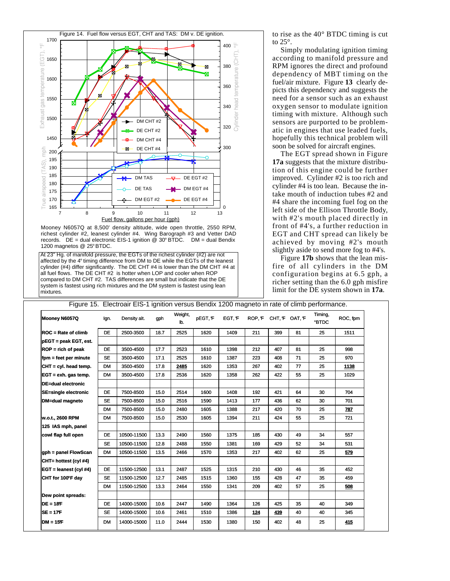

Mooney N6057Q at 8,500' density altitude, wide open throttle, 2550 RPM, richest cylinder #2, leanest cylinder #4. Wing Barograph #3 and Vetter DAD records.  $DE =$  dual electronic EIS-1 ignition @ 30° BTDC. DM = dual Bendix 1200 magnetos @ 25°BTDC.

[At 23" Hg. of manifold pressure, the EGTs of the richest cylinder (#2) are not affected by the 4° timing difference from DM to DE while the EGTs of the leanest cylinder (#4) differ significantly. The DE CHT #4 is lower than the DM CHT #4 at all fuel flows. The DE CHT #2 is hotter when LOP and cooler when ROP compared to DM CHT #2. TAS differences are small but indicate that the DE system is fastest using rich mixtures and the DM system is fastest using lean mixtures.

to rise as the 40° BTDC timing is cut to  $25^\circ$ .

Simply modulating ignition timing according to manifold pressure and RPM ignores the direct and profound dependency of MBT timing on the fuel/air mixture. Figure 13 clearly depicts this dependency and suggests the need for a sensor such as an exhaust oxygen sensor to modulate ignition timing with mixture. Although such sensors are purported to be problematic in engines that use leaded fuels, hopefully this technical problem will soon be solved for aircraft engines.

The EGT spread shown in Figure 17a suggests that the mixture distribution of this engine could be further improved. Cylinder #2 is too rich and cylinder #4 is too lean. Because the intake mouth of induction tubes #2 and #4 share the incoming fuel fog on the left side of the Ellison Throttle Body, with #2's mouth placed directly in front of #4's, a further reduction in EGT and CHT spread can likely be achieved by moving #2's mouth slightly aside to send more fog to #4's.

Figure 17b shows that the lean misfire of all cylinders in the DM configuration begins at 6.5 gph, a richer setting than the 6.0 gph misfire limit for the DE system shown in 17a.

| Figure 15. Electroair EIS-1 ignition versus Bendix 1200 magneto in rate of climb performance. |           |              |      |                |         |        |                   |     |    |                        |          |  |  |
|-----------------------------------------------------------------------------------------------|-----------|--------------|------|----------------|---------|--------|-------------------|-----|----|------------------------|----------|--|--|
| Mooney N6057Q                                                                                 | lgn.      | Density alt. | gph  | Weight,<br>lb. | pEGT, F | EGT, F | ROP.F CHT.F OAT.F |     |    | Timing,<br><b>BTDC</b> | ROC, fpm |  |  |
| $\mathsf{ROC}$ = Rate of climb                                                                | DE.       | 2500-3500    | 18.7 | 2525           | 1620    | 1409   | 211               | 399 | 81 | 25                     | 1511     |  |  |
| pEGT = peak EGT, est.                                                                         |           |              |      |                |         |        |                   |     |    |                        |          |  |  |
| $ROP = rich of peak$                                                                          | <b>DE</b> | 3500-4500    | 17.7 | 2523           | 1610    | 1398   | 212               | 407 | 81 | 25                     | 998      |  |  |
| fpm = feet per minute                                                                         | SE.       | 3500-4500    | 17.1 | 2525           | 1610    | 1387   | 223               | 408 | 71 | 25                     | 970      |  |  |
| $CHT = cvI.$ head temp.                                                                       | <b>DM</b> | 3500-4500    | 17.8 | 2485           | 1620    | 1353   | 267               | 402 | 77 | 25                     | 1138     |  |  |
| $EGT = e x h$ . gas temp.                                                                     | <b>DM</b> | 3500-4500    | 17.8 | 2536           | 1620    | 1358   | 262               | 422 | 55 | 25                     | 1029     |  |  |
| DE=dual electronic                                                                            |           |              |      |                |         |        |                   |     |    |                        |          |  |  |
| <b>SE=single electronic</b>                                                                   | DE        | 7500-8500    | 15.0 | 2514           | 1600    | 1408   | 192               | 421 | 64 | 30                     | 704      |  |  |
| DM=dual magneto                                                                               | <b>SE</b> | 7500-8500    | 15.0 | 2516           | 1590    | 1413   | 177               | 436 | 62 | 30                     | 701      |  |  |
|                                                                                               | <b>DM</b> | 7500-8500    | 15.0 | 2480           | 1605    | 1388   | 217               | 420 | 70 | 25                     | 787      |  |  |
| w.o.t., 2600 RPM                                                                              | <b>DM</b> | 7500-8500    | 15.0 | 2530           | 1605    | 1394   | 211               | 424 | 55 | 25                     | 721      |  |  |
| 125 IAS mph, panel                                                                            |           |              |      |                |         |        |                   |     |    |                        |          |  |  |
| cowl flap full open                                                                           | <b>DE</b> | 10500-11500  | 13.3 | 2490           | 1560    | 1375   | 185               | 430 | 49 | 34                     | 557      |  |  |
|                                                                                               | <b>SE</b> | 10500-11500  | 12.8 | 2488           | 1550    | 1381   | 169               | 429 | 52 | 34                     | 531      |  |  |
| gph = panel FlowScan                                                                          | <b>DM</b> | 10500-11500  | 13.5 | 2466           | 1570    | 1353   | 217               | 402 | 62 | 25                     | 579      |  |  |
| CHT= hottest (cyl #4)                                                                         |           |              |      |                |         |        |                   |     |    |                        |          |  |  |
| $EGT =$ leanest (cyl #4)                                                                      | <b>DE</b> | 11500-12500  | 13.1 | 2487           | 1525    | 1315   | 210               | 430 | 46 | 35                     | 452      |  |  |
| CHT for 100°F day                                                                             | <b>SE</b> | 11500-12500  | 12.7 | 2485           | 1515    | 1360   | 155               | 428 | 47 | 35                     | 459      |  |  |
|                                                                                               | <b>DM</b> | 11500-12500  | 13.3 | 2464           | 1550    | 1341   | 209               | 402 | 57 | 25                     | 508      |  |  |
| Dew point spreads:                                                                            |           |              |      |                |         |        |                   |     |    |                        |          |  |  |
| $DE = 18F$                                                                                    | DE        | 14000-15000  | 10.6 | 2447           | 1490    | 1364   | 126               | 425 | 35 | 40                     | 349      |  |  |
| $SE = 17F$                                                                                    | <b>SE</b> | 14000-15000  | 10.6 | 2461           | 1510    | 1386   | <u>124</u>        | 439 | 40 | 40                     | 345      |  |  |
| $DM = 15F$                                                                                    | <b>DM</b> | 14000-15000  | 11.0 | 2444           | 1530    | 1380   | 150               | 402 | 48 | 25                     | 415      |  |  |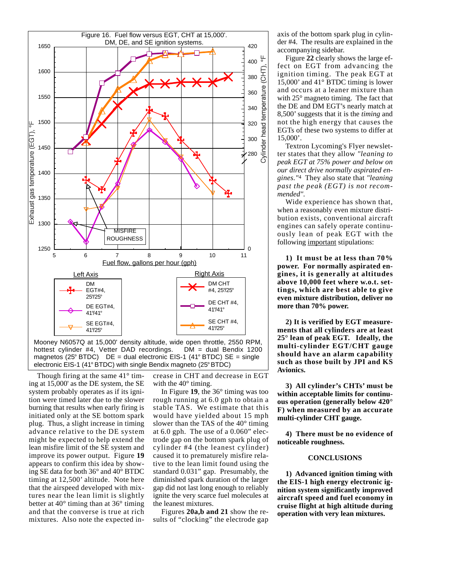

hottest cylinder #4, Vetter DAD recordings.  $DM = dual$  Bendix 1200 magnetos (25° BTDC) DE = dual electronic EIS-1 (41° BTDC) SE = single electronic EIS-1 (41° BTDC) with single Bendix magneto (25° BTDC)

Though firing at the same  $41^{\circ}$  timing at 15,000' as the DE system, the SE system probably operates as if its ignition were timed later due to the slower burning that results when early firing is initiated only at the SE bottom spark plug. Thus, a slight increase in timing advance relative to the DE system might be expected to help extend the lean misfire limit of the SE system and improve its power output. Figure 19 appears to confirm this idea by showing SE data for both 36° and 40° BTDC timing at 12,500' altitude. Note here that the airspeed developed with mixtures near the lean limit is slightly better at  $40^{\circ}$  timing than at  $36^{\circ}$  timing and that the converse is true at rich mixtures. Also note the expected increase in CHT and decrease in EGT with the  $40^{\circ}$  timing.

In Figure 19, the  $36^{\circ}$  timing was too rough running at 6.0 gph to obtain a stable TAS. We estimate that this would have yielded about 15 mph slower than the TAS of the  $40^{\circ}$  timing at  $6.0$  gph. The use of a  $0.060$ " electrode gap on the bottom spark plug of cylinder #4 (the leanest cylinder) caused it to prematurely misfire relative to the lean limit found using the standard 0.031" gap. Presumably, the diminished spark duration of the larger gap did not last long enough to reliably ignite the very scarce fuel molecules at the leanest mixtures.

Figures 20a,b and 21 show the results of "clocking" the electrode gap axis of the bottom spark plug in cylinder #4. The results are explained in the accompanying sidebar.

Figure 22 clearly shows the large effect on EGT from advancing the ignition timing. The peak EGT at 15,000' and  $41^{\circ}$  BTDC timing is lower and occurs at a leaner mixture than with  $25^{\circ}$  magneto timing. The fact that the DE and DM EGT's nearly match at 8,500' suggests that it is the *timing* and not the high energy that causes the EGTs of these two systems to differ at  $15,000'$ .

Textron Lycoming's Flyer newsletter states that they allow "leaning to peak EGT at 75% power and below on our direct drive normally aspirated engines."4 They also state that "leaning past the peak (EGT) is not recommended".

Wide experience has shown that, when a reasonably even mixture distribution exists, conventional aircraft engines can safely operate continuously lean of peak EGT with the following important stipulations:

1) It must be at less than  $70\%$ power. For normally aspirated engines, it is generally at altitudes above 10,000 feet where w.o.t. settings, which are best able to give even mixture distribution, deliver no more than 70% power.

2) It is verified by EGT measurements that all cylinders are at least 25° lean of peak EGT. Ideally, the multi-cylinder EGT/CHT gauge should have an alarm capability such as those built by JPI and KS **Avionics.** 

3) All cylinder's CHTs' must be within acceptable limits for continuous operation (generally below 420° F) when measured by an accurate multi-cylinder CHT gauge.

4) There must be no evidence of noticeable roughness.

#### **CONCLUSIONS**

1) Advanced ignition timing with the EIS-1 high energy electronic ignition system significantly improved aircraft speed and fuel economy in cruise flight at high altitude during operation with very lean mixtures.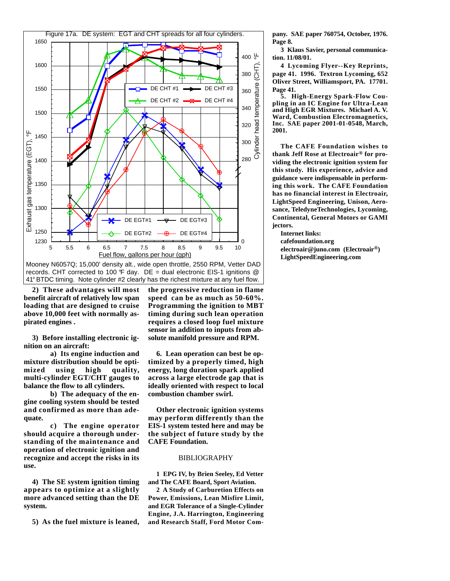

Mooney N6057Q; 15,000' density alt., wide open throttle, 2550 RPM, Vetter DAD records. CHT corrected to 100  $\mathcal{F}$  day. DE = dual electronic EIS-1 ignitions  $\mathcal{Q}$ 41° BTDC timing. Note cylinder #2 clearly has the richest mixture at any fuel flow.

2) These advantages will most benefit aircraft of relatively low span loading that are designed to cruise above 10,000 feet with normally aspirated engines.

3) Before installing electronic ignition on an aircraft:

a) Its engine induction and mixture distribution should be optimized using high quality, multi-cylinder EGT/CHT gauges to balance the flow to all cylinders.

b) The adequacy of the engine cooling system should be tested and confirmed as more than adequate.

c) The engine operator should acquire a thorough understanding of the maintenance and operation of electronic ignition and recognize and accept the risks in its use.

4) The SE system ignition timing appears to optimize at a slightly more advanced setting than the DE system.

5) As the fuel mixture is leaned,

the progressive reduction in flame speed can be as much as  $50-60\%$ . Programming the ignition to MBT timing during such lean operation requires a closed loop fuel mixture sensor in addition to inputs from absolute manifold pressure and RPM.

6. Lean operation can best be optimized by a properly timed, high energy, long duration spark applied across a large electrode gap that is ideally oriented with respect to local combustion chamber swirl.

Other electronic ignition systems may perform differently than the EIS-1 system tested here and may be the subject of future study by the **CAFE Foundation.** 

#### **BIBLIOGRAPHY**

1 EPG IV, by Brien Seeley, Ed Vetter and The CAFE Board, Sport Aviation.

2 A Study of Carburetion Effects on Power, Emissions, Lean Misfire Limit. and EGR Tolerance of a Single-Cylinder Engine, J.A. Harrington, Engineering and Research Staff, Ford Motor Company. SAE paper 760754, October, 1976. Page 8.

3 Klaus Savier, personal communication. 11/08/01.

4 Lycoming Flyer--Key Reprints, page 41. 1996. Textron Lycoming, 652 Oliver Street, Williamsport, PA. 17701. Page 41.

5. High-Energy Spark-Flow Coupling in an IC Engine for Ultra-Lean and High EGR Mixtures. Michael A.V. Ward, Combustion Electromagnetics, Inc. SAE paper 2001-01-0548, March, 2001.

The CAFE Foundation wishes to thank Jeff Rose at Electroair® for providing the electronic ignition system for this study. His experience, advice and guidance were indispensable in performing this work. The CAFE Foundation has no financial interest in Electroair, LightSpeed Engineering, Unison, Aerosance, TeledyneTechnologies, Lycoming, **Continental, General Motors or GAMI** jectors.

**Internet links:** 

cafefoundation.org

electroair@juno.com (Electroair®) LightSpeedEngineering.com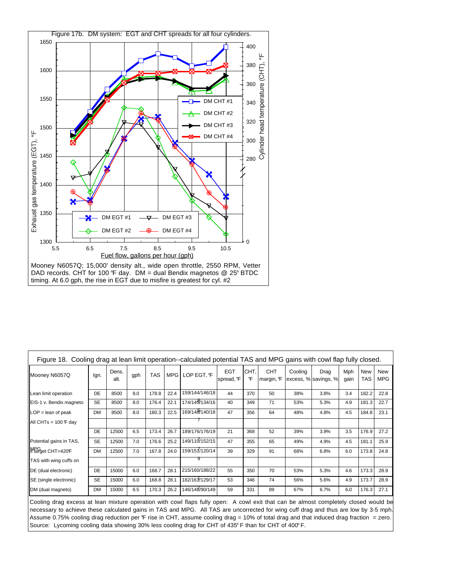

| Figure 18. Cooling drag at lean limit operation--calculated potential TAS and MPG gains with cowl flap fully closed. |           |               |     |            |            |                |                         |           |                         |         |                              |             |            |                          |
|----------------------------------------------------------------------------------------------------------------------|-----------|---------------|-----|------------|------------|----------------|-------------------------|-----------|-------------------------|---------|------------------------------|-------------|------------|--------------------------|
| Mooney N6057Q                                                                                                        | lgn.      | Dens.<br>alt. | gph | <b>TAS</b> | <b>MPG</b> | LOP EGT. ºF    | <b>EGT</b><br>spread, F | CHT,<br>F | <b>CHT</b><br>margin, F | Cooling | Drag<br>excess, % savings, % | Mph<br>gain | New<br>TAS | <b>New</b><br><b>MPG</b> |
| Lean limit operation                                                                                                 | DE        | 8500          | 8.0 | 178.8      | 22.4       | 159/144/146/18 | 44                      | 370       | 50                      | 38%     | 3.8%                         | 3.4         | 182.2      | 22.8                     |
| EIS-1 v. Bendix magneto                                                                                              | <b>SE</b> | 8500          | 8.0 | 176.4      | 22.1       | 174/145/134/16 | 40                      | 349       | 71                      | 53%     | 5.3%                         | 4.9         | 181.3      | 22.7                     |
| $\angle$ LOP = lean of peak                                                                                          | <b>DM</b> | 8500          | 8.0 | 180.3      | 22.5       | 169/148/140/18 | 47                      | 356       | 64                      | 48%     | 4.8%                         | 4.5         | 184.8      | 23.1                     |
| All CHTs = 100 F day                                                                                                 |           |               |     |            |            |                |                         |           |                         |         |                              |             |            |                          |
|                                                                                                                      | DE        | 12500         | 6.5 | 173.4      | 26.7       | 189/176/176/19 | 21                      | 368       | 52                      | 39%     | 3.9%                         | 3.5         | 176.9      | 27.2                     |
| Potential gains in TAS,                                                                                              | <b>SE</b> | 12500         | 7.0 | 176.6      | 25.2       | 149/110/152/15 | 47                      | 355       | 65                      | 49%     | 4.9%                         | 4.5         | 181.1      | 25.9                     |
| MPG <sub>et CHT=420F</sub>                                                                                           | <b>DM</b> | 12500         | 7.0 | 167.8      | 24.0       | 159/151/120/14 | 39                      | 329       | 91                      | 68%     | 6.8%                         | 6.0         | 173.8      | 24.8                     |
| TAS with wing cuffs on                                                                                               |           |               |     |            |            | 9              |                         |           |                         |         |                              |             |            |                          |
| DE (dual electronic)                                                                                                 | DE        | 15000         | 6.0 | 168.7      | 28.1       | 215/160/188/22 | 55                      | 350       | 70                      | 53%     | 5.3%                         | 4.6         | 173.3      | 28.9                     |
| <b>ISE</b> (single electronic)                                                                                       | <b>SE</b> | 15000         | 6.0 | 168.8      | 28.1       | 182/161/129/17 | 53                      | 346       | 74                      | 56%     | 5.6%                         | 4.9         | 173.7      | 28.9                     |
| DM (dual magneto)                                                                                                    | <b>DM</b> | 15000         | 6.5 | 170.3      | 26.2       | 146/148/90/149 | 59                      | 331       | 89                      | 67%     | 6.7%                         | 6.0         | 176.3      | 27.1                     |

Cooling drag excess at lean mixture operation with cowl flaps fully open: A cowl exit that can be almost completely closed would be necessary to achieve these calculated gains in TAS and MPG. All TAS are uncorrected for wing cuff drag and thus are low by 3-5 mph. Assume 0.75% cooling drag reduction per F rise in CHT, assume cooling drag = 10% of total drag and that induced drag fraction = zero. Source: Lycoming cooling data showing 30% less cooling drag for CHT of 435°F than for CHT of 400°F.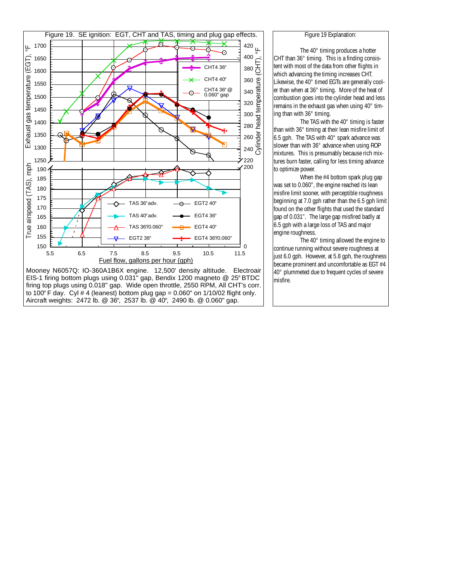

EIS-1 firing bottom plugs using 0.031" gap, Bendix 1200 magneto @ 25° BTDC firing top plugs using 0.018" gap. Wide open throttle, 2550 RPM, All CHT's corr. to 100 $\degree$  F day. Cyl # 4 (leanest) bottom plug gap = 0.060" on 1/10/02 flight only. Aircraft weights: 2472 lb. @ 36°, 2537 lb. @ 40°, 2490 lb. @ 0.060" gap.

The 40° timing produces a hotter CHT than 36° timing. This is a finding consistent with most of the data from other flights in which advancing the timing increases CHT. Likewise, the 40° timed EGTs are generally cooler than when at 36° timing. More of the heat of combustion goes into the cylinder head and less remains in the exhaust gas when using 40° timing than with 36° timing.

The TAS with the 40° timing is faster than with 36° timing at their lean misfire limit of 6.5 gph. The TAS with 40° spark advance was slower than with 36° advance when using ROP mixtures. This is presumably because rich mixtures burn faster, calling for less timing advance to optimize power.

When the #4 bottom spark plug gap was set to 0.060", the engine reached its lean misfire limit sooner, with perceptible roughness beginning at 7.0 gph rather than the 6.5 gph limit found on the other flights that used the standard gap of 0.031". The large gap misfired badly at 6.5 gph with a large loss of TAS and major engine roughness.

The 40° timing allowed the engine to continue running without severe roughness at just 6.0 gph. However, at 5.8 gph, the roughness became prominent and uncomfortable as EGT #4 40° plummeted due to frequent cycles of severe misfire.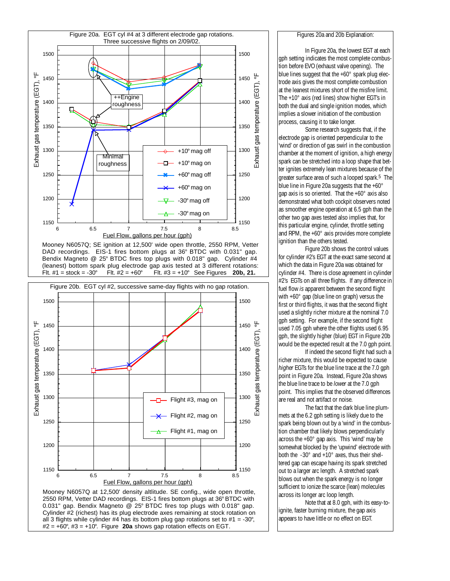

Mooney N6057Q; SE ignition at 12,500' wide open throttle, 2550 RPM, Vetter DAD recordings. EIS-1 fires bottom plugs at 36° BTDC with 0.031" gap.<br>Bendix Magneto @ 25° BTDC fires top plugs with 0.018" gap. Cylinder #4 (leanest) bottom spark plug electrode gap axis tested at 3 different rotations: Flt.  $#1 = stock = -30^\circ$ Flt.  $#2 = +60^{\circ}$ Flt.  $#3 = +10^{\circ}$  See Figures 20b, 21.



2550 RPM, Vetter DAD recordings. EIS-1 fires bottom plugs at 36° BTDC with 0.031" gap. Bendix Magneto @ 25° BTDC fires top plugs with 0.018" gap. Cylinder #2 (richest) has its plug electrode axes remaining at stock rotation on all 3 flights while cylinder #4 has its bottom plug gap rotations set to #1 = -30°,  $#2 = +60^{\circ}, #3 = +10^{\circ}$ . Figure 20a shows gap rotation effects on EGT.

#### Figures 20a and 20b Explanation:

In Figure 20a, the lowest EGT at each aph setting indicates the most complete combustion before EVO (exhaust valve opening). The blue lines suggest that the +60° spark plug electrode axis gives the most complete combustion at the leanest mixtures short of the misfire limit. The +10° axis (red lines) show higher EGT's in both the dual and single ignition modes, which implies a slower initiation of the combustion process, causing it to take longer.

Some research suggests that, if the electrode gap is oriented perpendicular to the 'wind' or direction of gas swirl in the combustion chamber at the moment of ignition, a high energy spark can be stretched into a loop shape that better ignites extremely lean mixtures because of the greater surface area of such a looped spark.<sup>5</sup> The blue line in Figure 20a suggests that the +60° gap axis is so oriented. That the +60° axis also demonstrated what both cockpit observers noted as smoother engine operation at 6.5 gph than the other two gap axes tested also implies that, for this particular engine, cylinder, throttle setting and RPM, the +60° axis provides more complete ignition than the others tested.

Figure 20b shows the control values for cylinder #2's EGT at the exact same second at which the data in Figure 20a was obtained for cylinder #4. There is close agreement in cylinder #2's EGTs on all three flights. If any difference in fuel flow is apparent between the second flight with +60° gap (blue line on graph) versus the first or third flights, it was that the second flight used a slightly richer mixture at the nominal 7.0 gph setting. For example, if the second flight used 7.05 gph where the other flights used 6.95 gph, the slightly higher (blue) EGT in Figure 20b would be the expected result at the 7.0 gph point

If indeed the second flight had such a richer mixture, this would be expected to cause higher EGTs for the blue line trace at the 7.0 gph point in Figure 20a. Instead, Figure 20a shows the blue line trace to be lower at the 7.0 gph point. This implies that the observed differences are real and not artifact or noise.

The fact that the dark blue line plummets at the 6.2 gph setting is likely due to the spark being blown out by a 'wind' in the combustion chamber that likely blows perpendicularly across the +60° gap axis. This 'wind' may be somewhat blocked by the 'upwind' electrode with both the -30° and +10° axes, thus their sheltered gap can escape having its spark stretched out to a larger arc length. A stretched spark blows out when the spark energy is no longer sufficient to ionize the scarce (lean) molecules across its longer arc loop length.

Note that at 8.0 gph, with its easy-toignite, faster burning mixture, the gap axis appears to have little or no effect on EGT.